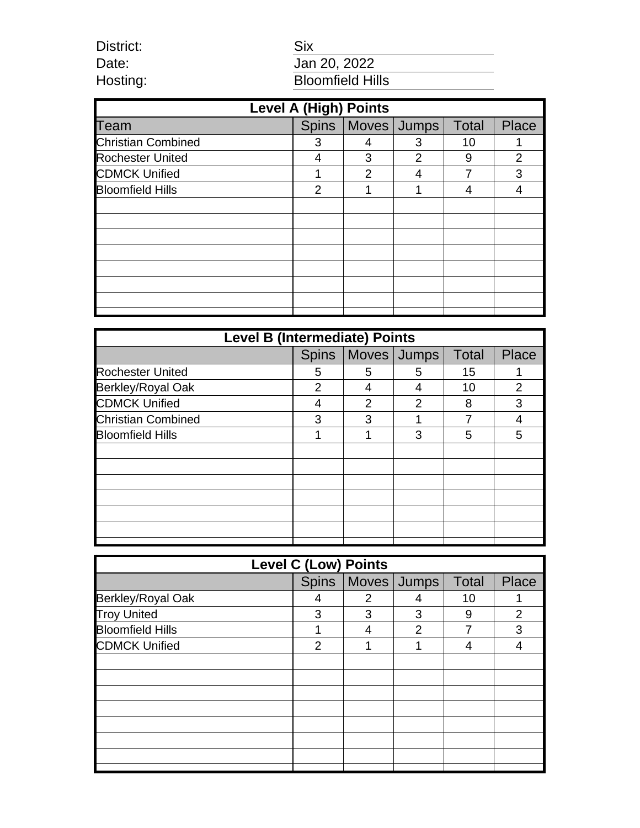| District: |  |
|-----------|--|
| Date:     |  |
| Hosting:  |  |

# Six Jan 20, 2022 **Bloomfield Hills**

| <b>Level A (High) Points</b> |               |                |                       |              |                |
|------------------------------|---------------|----------------|-----------------------|--------------|----------------|
| Team                         |               |                | Spins   Moves   Jumps | <b>Total</b> | Place          |
| <b>Christian Combined</b>    | 3             |                | 3                     | 10           |                |
| <b>Rochester United</b>      | 4             | 3              | 2                     | 9            | $\overline{2}$ |
| <b>CDMCK Unified</b>         |               | $\overline{2}$ | 4                     | 7            | 3              |
| <b>Bloomfield Hills</b>      | $\mathcal{P}$ | 1              |                       | 4            |                |
|                              |               |                |                       |              |                |
|                              |               |                |                       |              |                |
|                              |               |                |                       |              |                |
|                              |               |                |                       |              |                |
|                              |               |                |                       |              |                |
|                              |               |                |                       |              |                |
|                              |               |                |                       |              |                |
|                              |               |                |                       |              |                |

| <b>Level B (Intermediate) Points</b> |              |   |               |              |                |
|--------------------------------------|--------------|---|---------------|--------------|----------------|
|                                      | <b>Spins</b> |   | Moves Jumps   | <b>Total</b> | <b>Place</b>   |
| <b>Rochester United</b>              | 5            | 5 | 5             | 15           |                |
| Berkley/Royal Oak                    | 2            |   | 4             | 10           | $\overline{2}$ |
| <b>CDMCK Unified</b>                 | 4            | 2 | $\mathcal{P}$ | 8            | 3              |
| <b>Christian Combined</b>            | 3            | 3 |               |              | 4              |
| <b>Bloomfield Hills</b>              | 1            | 1 | 3             | 5            | 5              |
|                                      |              |   |               |              |                |
|                                      |              |   |               |              |                |
|                                      |              |   |               |              |                |
|                                      |              |   |               |              |                |
|                                      |              |   |               |              |                |
|                                      |              |   |               |              |                |
|                                      |              |   |               |              |                |

| <b>Level C (Low) Points</b> |   |   |                       |              |                |
|-----------------------------|---|---|-----------------------|--------------|----------------|
|                             |   |   | Spins   Moves   Jumps | <b>Total</b> | Place          |
| Berkley/Royal Oak           | 4 | 2 | 4                     | 10           |                |
| <b>Troy United</b>          | 3 | 3 | 3                     | 9            | $\overline{2}$ |
| <b>Bloomfield Hills</b>     | 1 | 4 | $\overline{2}$        |              | 3              |
| <b>CDMCK Unified</b>        | 2 | 1 | 1                     | 4            | 4              |
|                             |   |   |                       |              |                |
|                             |   |   |                       |              |                |
|                             |   |   |                       |              |                |
|                             |   |   |                       |              |                |
|                             |   |   |                       |              |                |
|                             |   |   |                       |              |                |
|                             |   |   |                       |              |                |
|                             |   |   |                       |              |                |